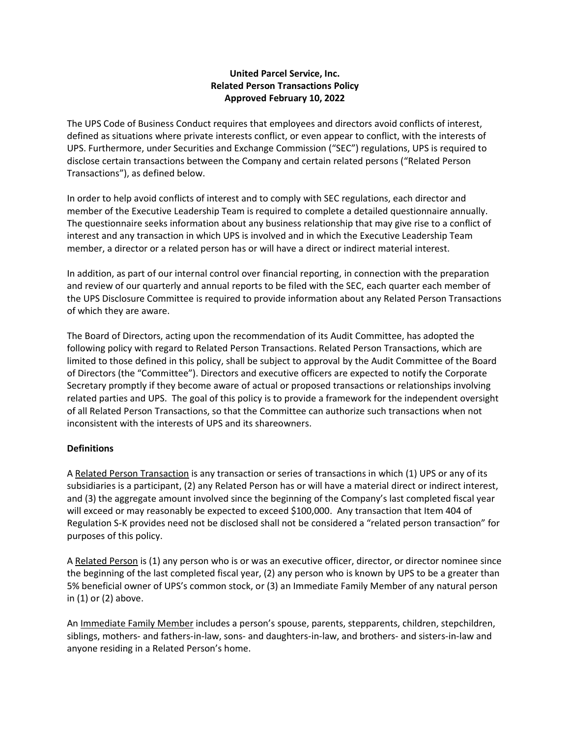## **United Parcel Service, Inc. Related Person Transactions Policy Approved February 10, 2022**

The UPS Code of Business Conduct requires that employees and directors avoid conflicts of interest, defined as situations where private interests conflict, or even appear to conflict, with the interests of UPS. Furthermore, under Securities and Exchange Commission ("SEC") regulations, UPS is required to disclose certain transactions between the Company and certain related persons ("Related Person Transactions"), as defined below.

In order to help avoid conflicts of interest and to comply with SEC regulations, each director and member of the Executive Leadership Team is required to complete a detailed questionnaire annually. The questionnaire seeks information about any business relationship that may give rise to a conflict of interest and any transaction in which UPS is involved and in which the Executive Leadership Team member, a director or a related person has or will have a direct or indirect material interest.

In addition, as part of our internal control over financial reporting, in connection with the preparation and review of our quarterly and annual reports to be filed with the SEC, each quarter each member of the UPS Disclosure Committee is required to provide information about any Related Person Transactions of which they are aware.

The Board of Directors, acting upon the recommendation of its Audit Committee, has adopted the following policy with regard to Related Person Transactions. Related Person Transactions, which are limited to those defined in this policy, shall be subject to approval by the Audit Committee of the Board of Directors (the "Committee"). Directors and executive officers are expected to notify the Corporate Secretary promptly if they become aware of actual or proposed transactions or relationships involving related parties and UPS. The goal of this policy is to provide a framework for the independent oversight of all Related Person Transactions, so that the Committee can authorize such transactions when not inconsistent with the interests of UPS and its shareowners.

## **Definitions**

A Related Person Transaction is any transaction or series of transactions in which (1) UPS or any of its subsidiaries is a participant, (2) any Related Person has or will have a material direct or indirect interest, and (3) the aggregate amount involved since the beginning of the Company's last completed fiscal year will exceed or may reasonably be expected to exceed \$100,000. Any transaction that Item 404 of Regulation S-K provides need not be disclosed shall not be considered a "related person transaction" for purposes of this policy.

A Related Person is (1) any person who is or was an executive officer, director, or director nominee since the beginning of the last completed fiscal year, (2) any person who is known by UPS to be a greater than 5% beneficial owner of UPS's common stock, or (3) an Immediate Family Member of any natural person in (1) or (2) above.

An Immediate Family Member includes a person's spouse, parents, stepparents, children, stepchildren, siblings, mothers- and fathers-in-law, sons- and daughters-in-law, and brothers- and sisters-in-law and anyone residing in a Related Person's home.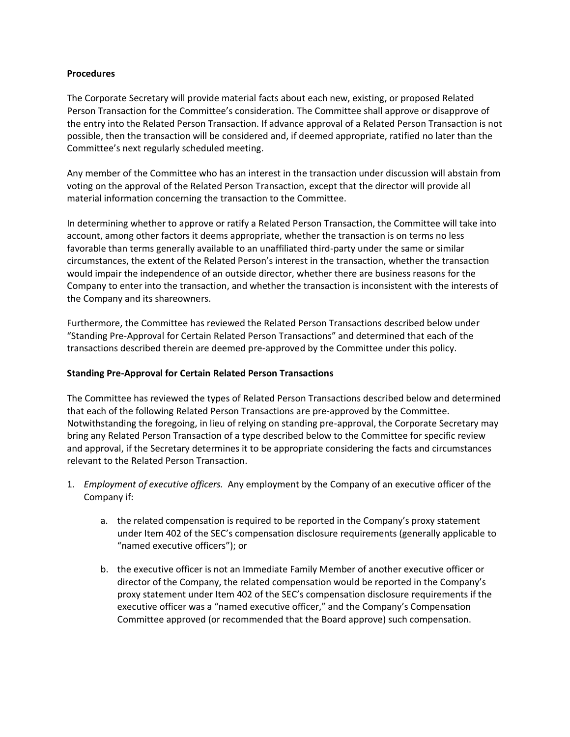## **Procedures**

The Corporate Secretary will provide material facts about each new, existing, or proposed Related Person Transaction for the Committee's consideration. The Committee shall approve or disapprove of the entry into the Related Person Transaction. If advance approval of a Related Person Transaction is not possible, then the transaction will be considered and, if deemed appropriate, ratified no later than the Committee's next regularly scheduled meeting.

Any member of the Committee who has an interest in the transaction under discussion will abstain from voting on the approval of the Related Person Transaction, except that the director will provide all material information concerning the transaction to the Committee.

In determining whether to approve or ratify a Related Person Transaction, the Committee will take into account, among other factors it deems appropriate, whether the transaction is on terms no less favorable than terms generally available to an unaffiliated third-party under the same or similar circumstances, the extent of the Related Person's interest in the transaction, whether the transaction would impair the independence of an outside director, whether there are business reasons for the Company to enter into the transaction, and whether the transaction is inconsistent with the interests of the Company and its shareowners.

Furthermore, the Committee has reviewed the Related Person Transactions described below under "Standing Pre-Approval for Certain Related Person Transactions" and determined that each of the transactions described therein are deemed pre-approved by the Committee under this policy.

## **Standing Pre-Approval for Certain Related Person Transactions**

The Committee has reviewed the types of Related Person Transactions described below and determined that each of the following Related Person Transactions are pre-approved by the Committee. Notwithstanding the foregoing, in lieu of relying on standing pre-approval, the Corporate Secretary may bring any Related Person Transaction of a type described below to the Committee for specific review and approval, if the Secretary determines it to be appropriate considering the facts and circumstances relevant to the Related Person Transaction.

- 1. *Employment of executive officers.* Any employment by the Company of an executive officer of the Company if:
	- a. the related compensation is required to be reported in the Company's proxy statement under Item 402 of the SEC's compensation disclosure requirements (generally applicable to "named executive officers"); or
	- b. the executive officer is not an Immediate Family Member of another executive officer or director of the Company, the related compensation would be reported in the Company's proxy statement under Item 402 of the SEC's compensation disclosure requirements if the executive officer was a "named executive officer," and the Company's Compensation Committee approved (or recommended that the Board approve) such compensation.